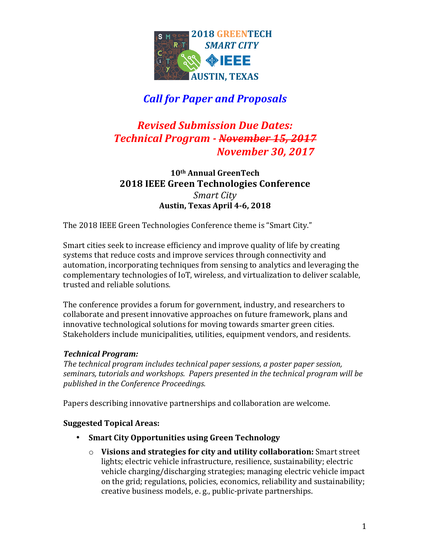

# *Call for Paper and Proposals*

# *Revised Submission Due Dates: Technical Program - November 15, 2017 November 30, 2017*

### **10th Annual GreenTech 2018 IEEE Green Technologies Conference** *Smart City* **Austin, Texas April 4-6, 2018**

The 2018 IEEE Green Technologies Conference theme is "Smart City."

Smart cities seek to increase efficiency and improve quality of life by creating systems that reduce costs and improve services through connectivity and automation, incorporating techniques from sensing to analytics and leveraging the complementary technologies of IoT, wireless, and virtualization to deliver scalable, trusted and reliable solutions.

The conference provides a forum for government, industry, and researchers to collaborate and present innovative approaches on future framework, plans and innovative technological solutions for moving towards smarter green cities. Stakeholders include municipalities, utilities, equipment vendors, and residents.

#### *Technical Program:*

*The technical program includes technical paper sessions, a poster paper session,* seminars, tutorials and workshops. Papers presented in the technical program will be *published in the Conference Proceedings.*

Papers describing innovative partnerships and collaboration are welcome.

### **Suggested Topical Areas:**

- **Smart City Opportunities using Green Technology** 
	- o Visions and strategies for city and utility collaboration: Smart street lights; electric vehicle infrastructure, resilience, sustainability; electric vehicle charging/discharging strategies; managing electric vehicle impact on the grid; regulations, policies, economics, reliability and sustainability; creative business models, e.g., public-private partnerships.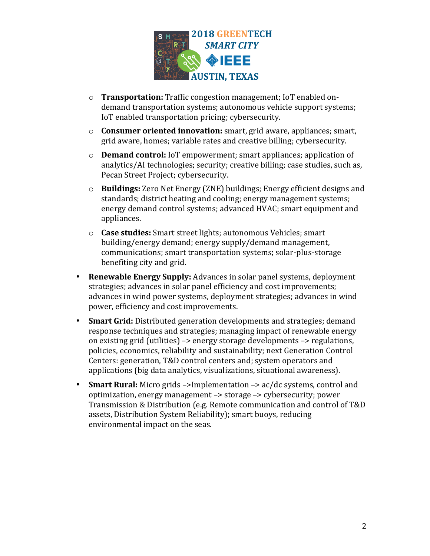

- o **Transportation:** Traffic congestion management; IoT enabled ondemand transportation systems; autonomous vehicle support systems; IoT enabled transportation pricing; cybersecurity.
- o **Consumer oriented innovation:** smart, grid aware, appliances; smart, grid aware, homes; variable rates and creative billing; cybersecurity.
- o **Demand control:** IoT empowerment; smart appliances; application of analytics/AI technologies; security; creative billing; case studies, such as, Pecan Street Project: cybersecurity.
- o **Buildings:** Zero Net Energy (ZNE) buildings; Energy efficient designs and standards; district heating and cooling; energy management systems; energy demand control systems; advanced HVAC; smart equipment and appliances.
- $\circ$  **Case studies:** Smart street lights; autonomous Vehicles; smart building/energy demand; energy supply/demand management, communications; smart transportation systems; solar-plus-storage benefiting city and grid.
- **Renewable Energy Supply:** Advances in solar panel systems, deployment strategies; advances in solar panel efficiency and cost improvements; advances in wind power systems, deployment strategies; advances in wind power, efficiency and cost improvements.
- **Smart Grid:** Distributed generation developments and strategies; demand response techniques and strategies; managing impact of renewable energy on existing grid (utilities)  $\rightarrow$  energy storage developments  $\rightarrow$  regulations, policies, economics, reliability and sustainability; next Generation Control Centers: generation, T&D control centers and: system operators and applications (big data analytics, visualizations, situational awareness).
- Smart Rural: Micro grids ->Implementation -> ac/dc systems, control and optimization, energy management  $\rightarrow$  storage  $\rightarrow$  cybersecurity; power Transmission & Distribution (e.g. Remote communication and control of T&D assets, Distribution System Reliability); smart buoys, reducing environmental impact on the seas.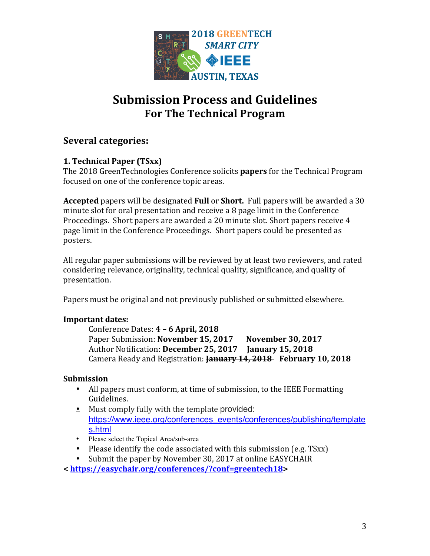

# **Submission Process and Guidelines For The Technical Program**

## **Several categories:**

#### **1. Technical Paper (TSxx)**

The 2018 GreenTechnologies Conference solicits **papers** for the Technical Program focused on one of the conference topic areas.

**Accepted** papers will be designated **Full** or **Short.** Full papers will be awarded a 30 minute slot for oral presentation and receive a 8 page limit in the Conference Proceedings. Short papers are awarded a 20 minute slot. Short papers receive 4 page limit in the Conference Proceedings. Short papers could be presented as posters.

All regular paper submissions will be reviewed by at least two reviewers, and rated considering relevance, originality, technical quality, significance, and quality of presentation. 

Papers must be original and not previously published or submitted elsewhere.

#### **Important dates:**

Conference Dates: **4 – 6 April, 2018** Paper Submission: November 15, 2017 November 30, 2017 Author Notification: December 25, 2017 **January 15, 2018** Camera Ready and Registration: **January 14, 2018 February 10, 2018** 

#### **Submission**

- All papers must conform, at time of submission, to the IEEE Formatting Guidelines.
- $\triangleq$  Must comply fully with the template provided: https://www.ieee.org/conferences\_events/conferences/publishing/template s.html
- Please select the Topical Area/sub-area
- Please identify the code associated with this submission (e.g. TSxx)
- Submit the paper by November 30, 2017 at online EASYCHAIR
- **< https://easychair.org/conferences/?conf=greentech18>**